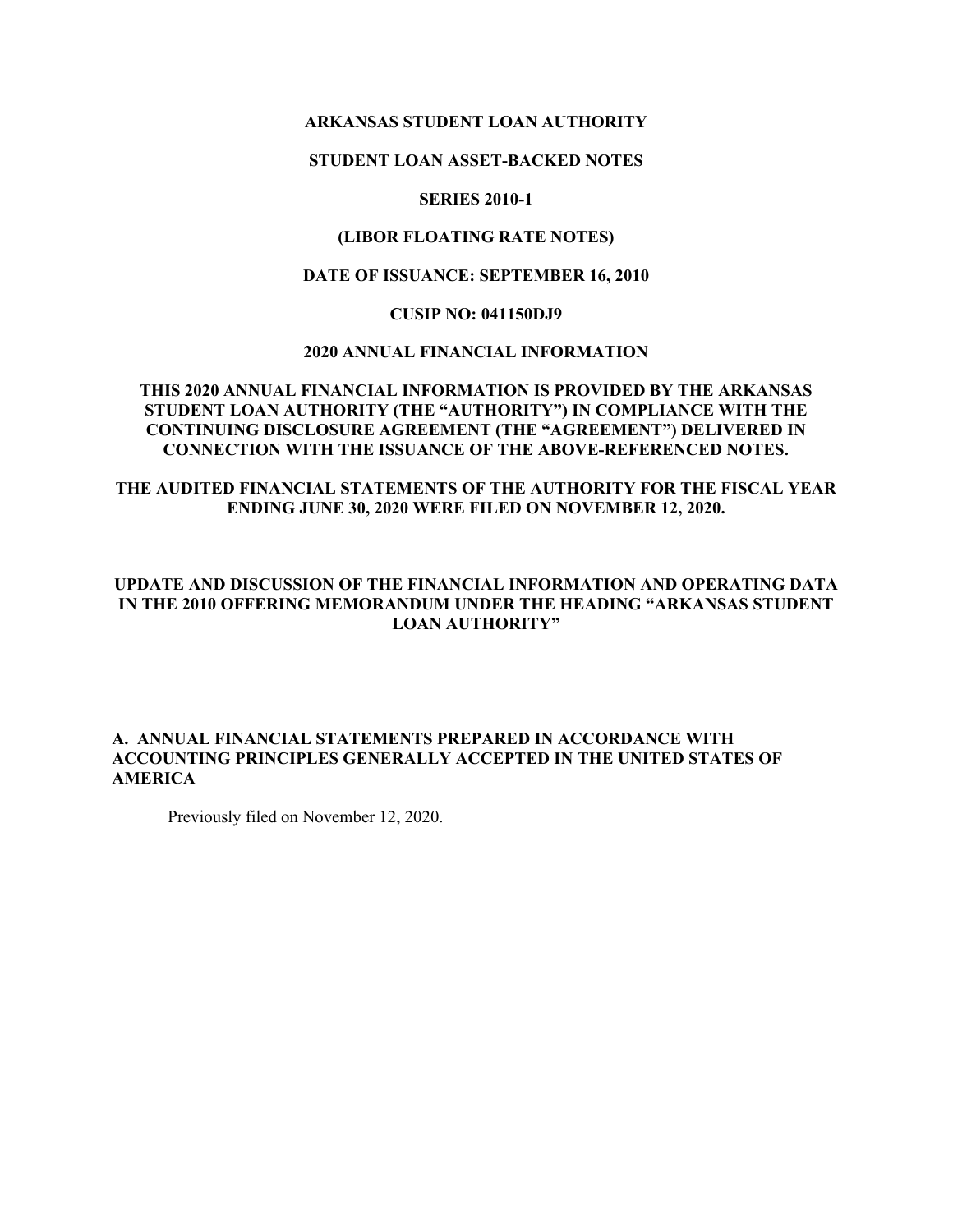#### **ARKANSAS STUDENT LOAN AUTHORITY**

#### **STUDENT LOAN ASSET-BACKED NOTES**

### **SERIES 2010-1**

### **(LIBOR FLOATING RATE NOTES)**

### **DATE OF ISSUANCE: SEPTEMBER 16, 2010**

#### **CUSIP NO: 041150DJ9**

#### **2020 ANNUAL FINANCIAL INFORMATION**

#### **THIS 2020 ANNUAL FINANCIAL INFORMATION IS PROVIDED BY THE ARKANSAS STUDENT LOAN AUTHORITY (THE "AUTHORITY") IN COMPLIANCE WITH THE CONTINUING DISCLOSURE AGREEMENT (THE "AGREEMENT") DELIVERED IN CONNECTION WITH THE ISSUANCE OF THE ABOVE-REFERENCED NOTES.**

## **THE AUDITED FINANCIAL STATEMENTS OF THE AUTHORITY FOR THE FISCAL YEAR ENDING JUNE 30, 2020 WERE FILED ON NOVEMBER 12, 2020.**

### **UPDATE AND DISCUSSION OF THE FINANCIAL INFORMATION AND OPERATING DATA IN THE 2010 OFFERING MEMORANDUM UNDER THE HEADING "ARKANSAS STUDENT LOAN AUTHORITY"**

### **A. ANNUAL FINANCIAL STATEMENTS PREPARED IN ACCORDANCE WITH ACCOUNTING PRINCIPLES GENERALLY ACCEPTED IN THE UNITED STATES OF AMERICA**

Previously filed on November 12, 2020.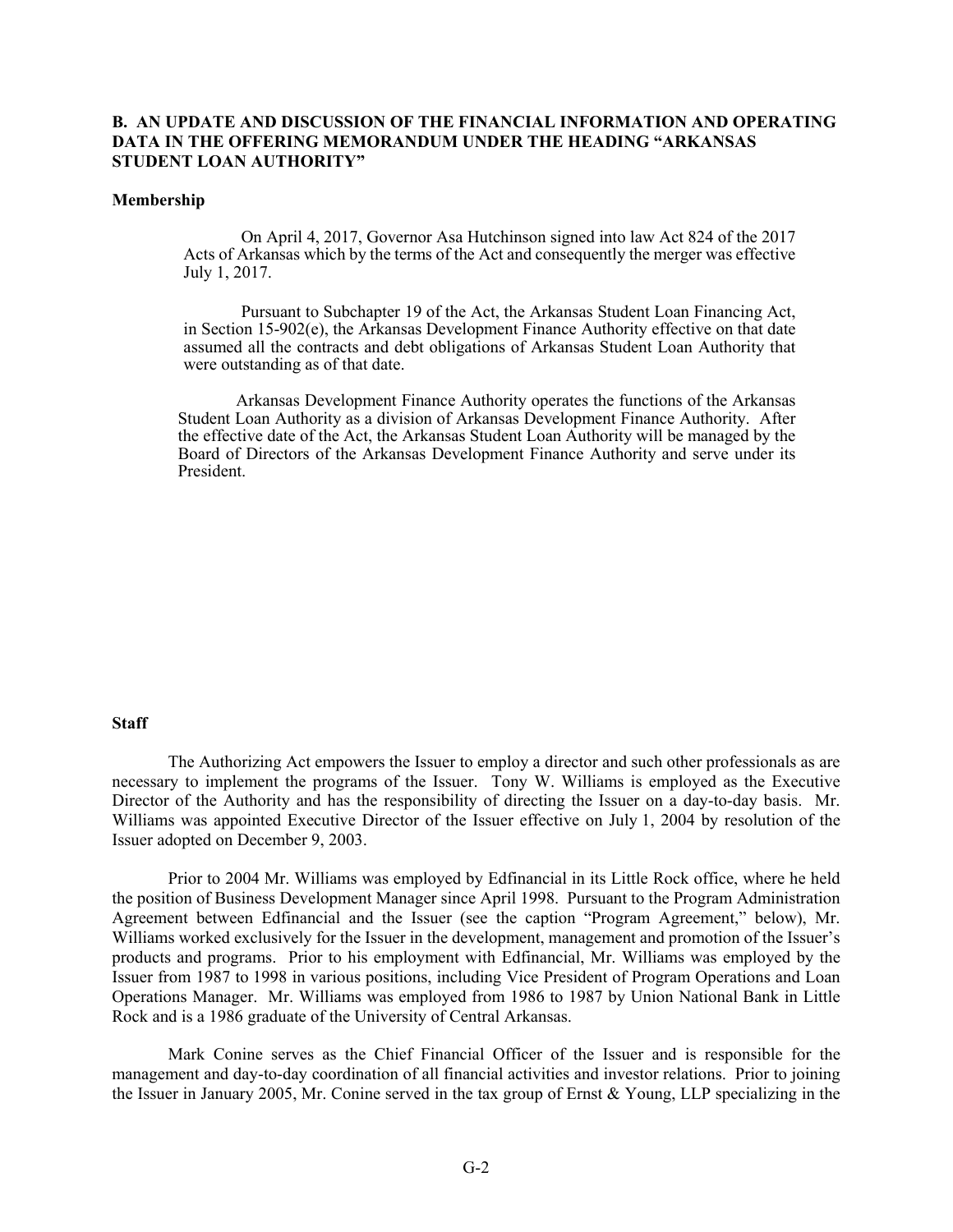#### **B. AN UPDATE AND DISCUSSION OF THE FINANCIAL INFORMATION AND OPERATING DATA IN THE OFFERING MEMORANDUM UNDER THE HEADING "ARKANSAS STUDENT LOAN AUTHORITY"**

#### **Membership**

On April 4, 2017, Governor Asa Hutchinson signed into law Act 824 of the 2017 Acts of Arkansas which by the terms of the Act and consequently the merger was effective July 1, 2017.

Pursuant to Subchapter 19 of the Act, the Arkansas Student Loan Financing Act, in Section 15-902(e), the Arkansas Development Finance Authority effective on that date assumed all the contracts and debt obligations of Arkansas Student Loan Authority that were outstanding as of that date.

Arkansas Development Finance Authority operates the functions of the Arkansas Student Loan Authority as a division of Arkansas Development Finance Authority. After the effective date of the Act, the Arkansas Student Loan Authority will be managed by the Board of Directors of the Arkansas Development Finance Authority and serve under its President.

#### **Staff**

The Authorizing Act empowers the Issuer to employ a director and such other professionals as are necessary to implement the programs of the Issuer. Tony W. Williams is employed as the Executive Director of the Authority and has the responsibility of directing the Issuer on a day-to-day basis. Mr. Williams was appointed Executive Director of the Issuer effective on July 1, 2004 by resolution of the Issuer adopted on December 9, 2003.

Prior to 2004 Mr. Williams was employed by Edfinancial in its Little Rock office, where he held the position of Business Development Manager since April 1998. Pursuant to the Program Administration Agreement between Edfinancial and the Issuer (see the caption "Program Agreement," below), Mr. Williams worked exclusively for the Issuer in the development, management and promotion of the Issuer's products and programs. Prior to his employment with Edfinancial, Mr. Williams was employed by the Issuer from 1987 to 1998 in various positions, including Vice President of Program Operations and Loan Operations Manager. Mr. Williams was employed from 1986 to 1987 by Union National Bank in Little Rock and is a 1986 graduate of the University of Central Arkansas.

Mark Conine serves as the Chief Financial Officer of the Issuer and is responsible for the management and day-to-day coordination of all financial activities and investor relations. Prior to joining the Issuer in January 2005, Mr. Conine served in the tax group of Ernst & Young, LLP specializing in the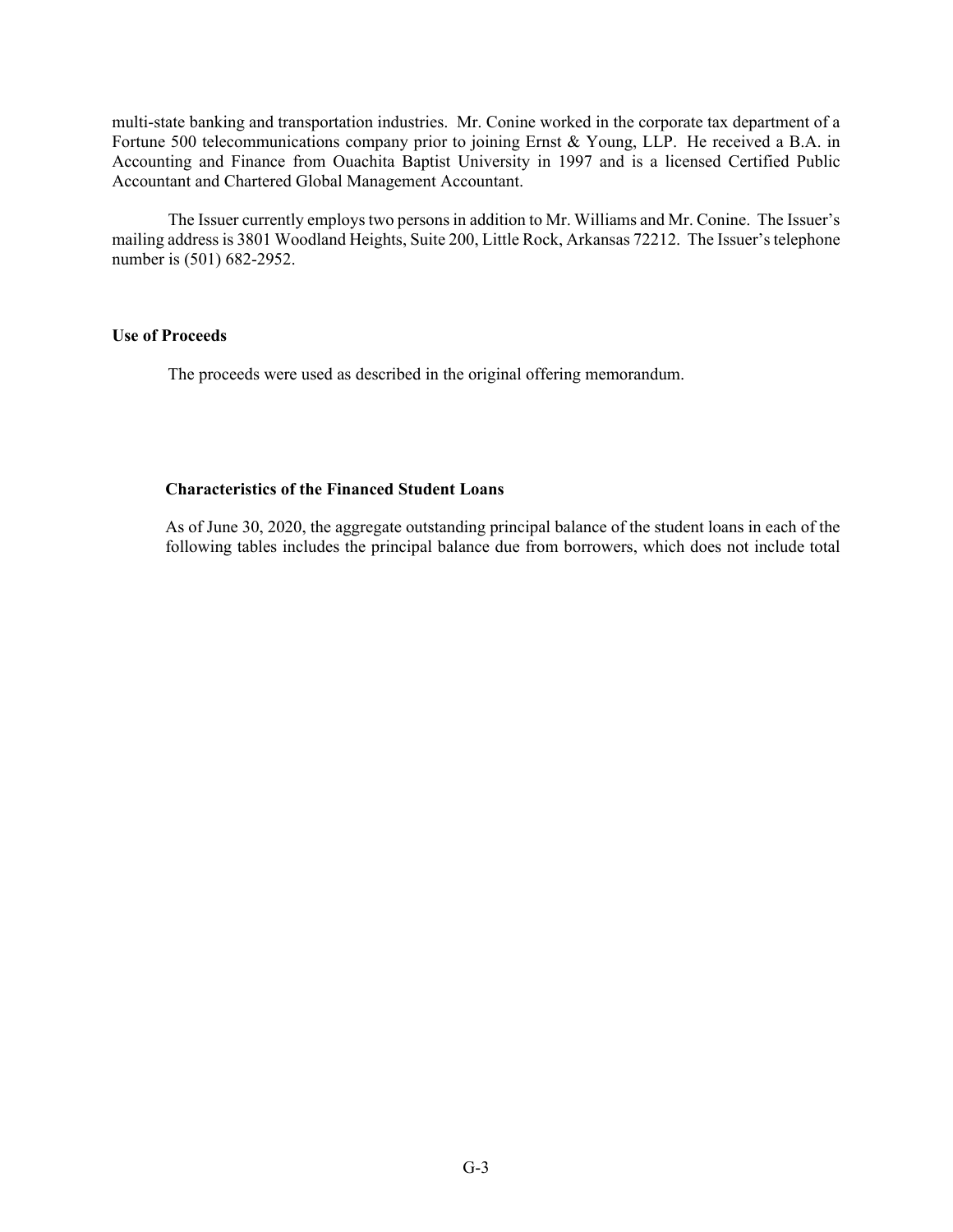multi-state banking and transportation industries. Mr. Conine worked in the corporate tax department of a Fortune 500 telecommunications company prior to joining Ernst & Young, LLP. He received a B.A. in Accounting and Finance from Ouachita Baptist University in 1997 and is a licensed Certified Public Accountant and Chartered Global Management Accountant.

The Issuer currently employs two persons in addition to Mr. Williams and Mr. Conine. The Issuer's mailing address is 3801 Woodland Heights, Suite 200, Little Rock, Arkansas 72212. The Issuer's telephone number is (501) 682-2952.

#### **Use of Proceeds**

The proceeds were used as described in the original offering memorandum.

#### **Characteristics of the Financed Student Loans**

As of June 30, 2020, the aggregate outstanding principal balance of the student loans in each of the following tables includes the principal balance due from borrowers, which does not include total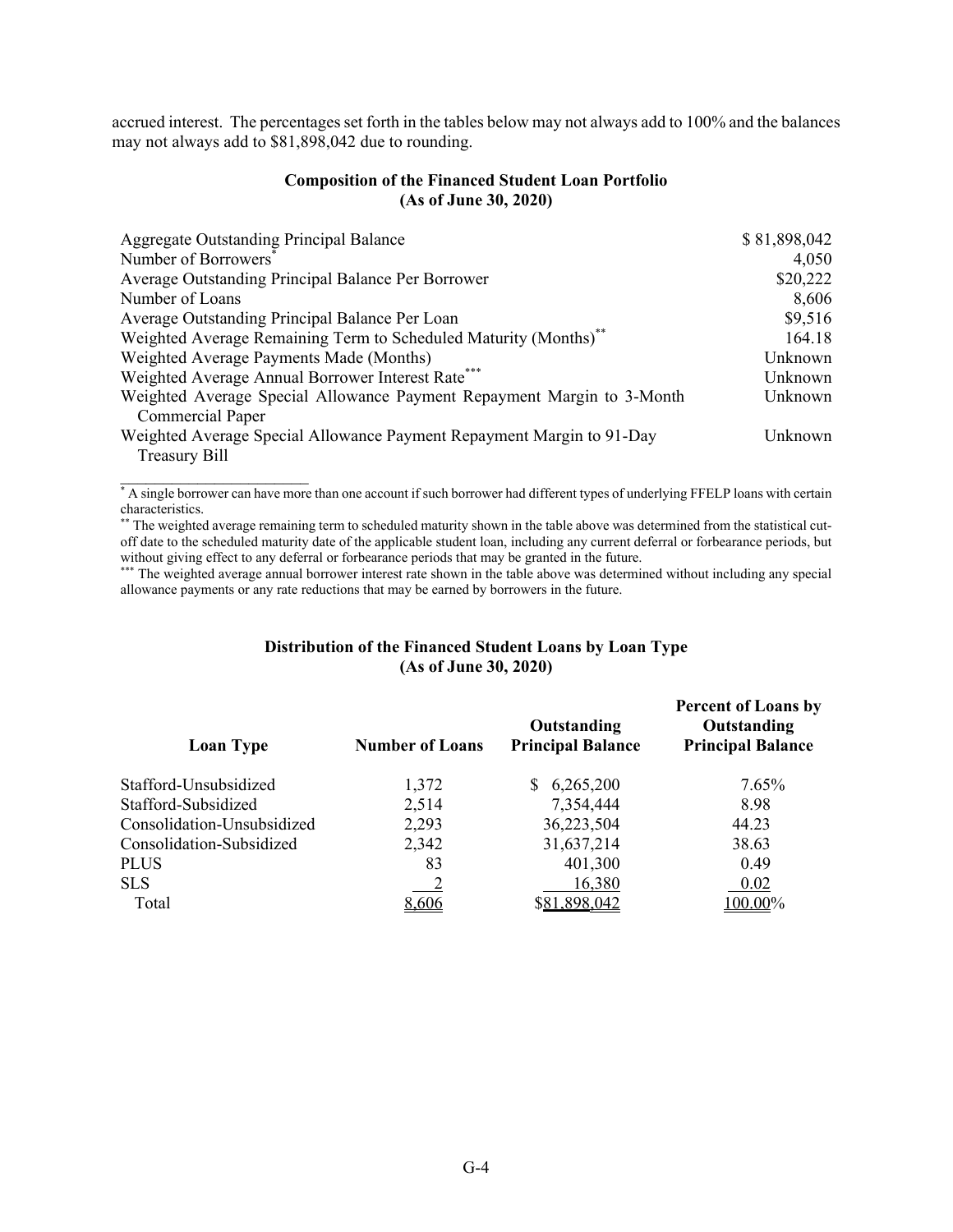accrued interest. The percentages set forth in the tables below may not always add to 100% and the balances may not always add to \$81,898,042 due to rounding.

#### **Composition of the Financed Student Loan Portfolio (As of June 30, 2020)**

| Aggregate Outstanding Principal Balance                                | \$81,898,042 |
|------------------------------------------------------------------------|--------------|
| Number of Borrowers <sup>®</sup>                                       | 4,050        |
| Average Outstanding Principal Balance Per Borrower                     | \$20,222     |
| Number of Loans                                                        | 8,606        |
| Average Outstanding Principal Balance Per Loan                         | \$9,516      |
| Weighted Average Remaining Term to Scheduled Maturity (Months)**       | 164.18       |
| Weighted Average Payments Made (Months)                                | Unknown      |
| Weighted Average Annual Borrower Interest Rate*                        | Unknown      |
| Weighted Average Special Allowance Payment Repayment Margin to 3-Month | Unknown      |
| <b>Commercial Paper</b>                                                |              |
| Weighted Average Special Allowance Payment Repayment Margin to 91-Day  | Unknown      |
| <b>Treasury Bill</b>                                                   |              |

\* A single borrower can have more than one account if such borrower had different types of underlying FFELP loans with certain characteristics.

 $\mathcal{L}=\{1,2,3,4,5\}$ 

The weighted average remaining term to scheduled maturity shown in the table above was determined from the statistical cutoff date to the scheduled maturity date of the applicable student loan, including any current deferral or forbearance periods, but without giving effect to any deferral or forbearance periods that may be granted in the future.

\*\*\* The weighted average annual borrower interest rate shown in the table above was determined without including any special allowance payments or any rate reductions that may be earned by borrowers in the future.

#### **Distribution of the Financed Student Loans by Loan Type (As of June 30, 2020)**

| <b>Loan Type</b>           | <b>Number of Loans</b> | Outstanding<br><b>Principal Balance</b> | <b>Percent of Loans by</b><br>Outstanding<br><b>Principal Balance</b> |
|----------------------------|------------------------|-----------------------------------------|-----------------------------------------------------------------------|
| Stafford-Unsubsidized      | 1,372                  | 6,265,200                               | 7.65%                                                                 |
| Stafford-Subsidized        | 2,514                  | 7,354,444                               | 8.98                                                                  |
| Consolidation-Unsubsidized | 2,293                  | 36,223,504                              | 44.23                                                                 |
| Consolidation-Subsidized   | 2,342                  | 31,637,214                              | 38.63                                                                 |
| PLUS                       | 83                     | 401,300                                 | 0.49                                                                  |
| <b>SLS</b>                 |                        | 16,380                                  | 0.02                                                                  |
| Total                      | 8,606                  | \$81,898,042                            | 100.00%                                                               |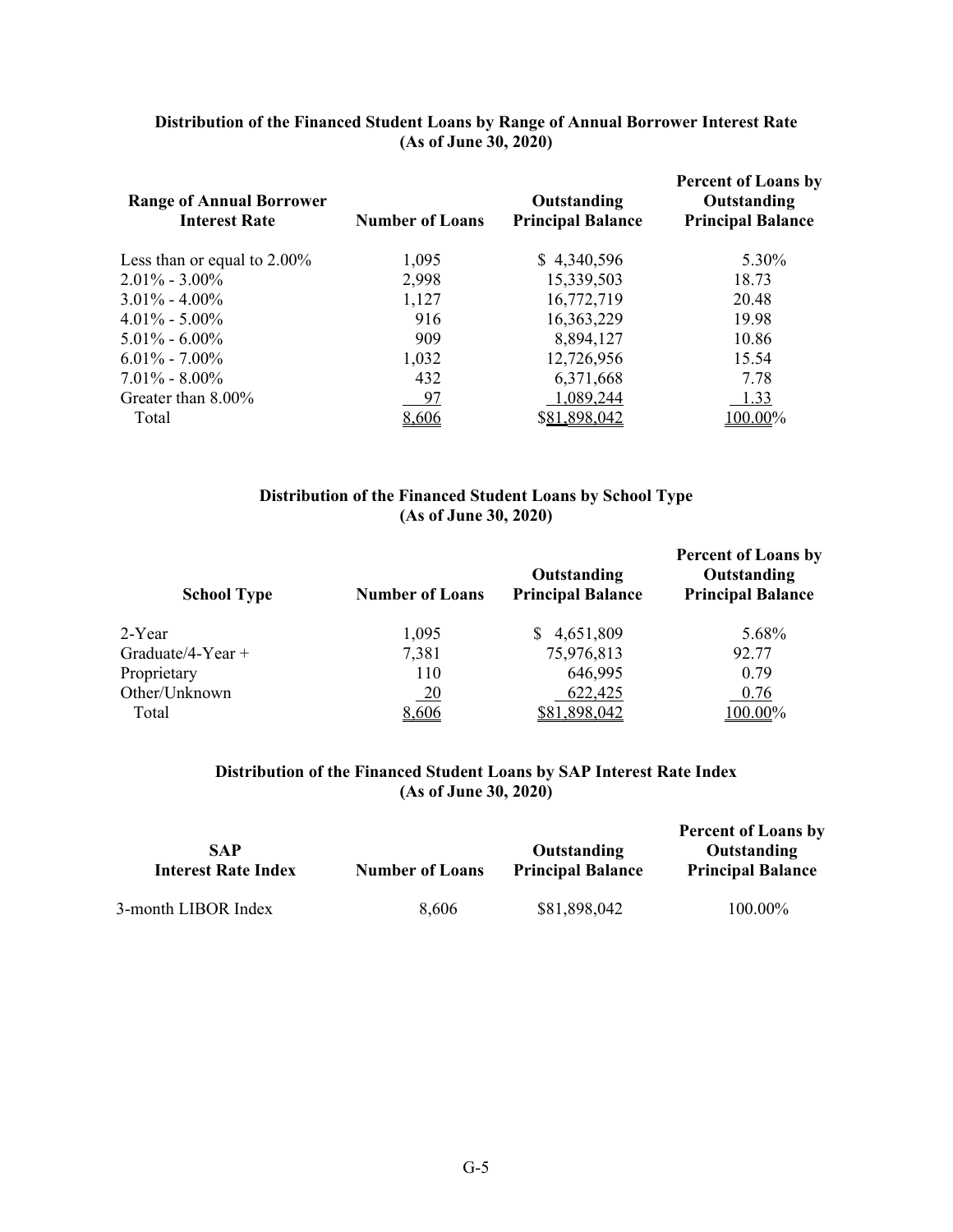| Distribution of the Financed Student Loans by Range of Annual Borrower Interest Rate |
|--------------------------------------------------------------------------------------|
| (As of June 30, 2020)                                                                |

| <b>Range of Annual Borrower</b><br><b>Interest Rate</b> | <b>Number of Loans</b> | Outstanding<br><b>Principal Balance</b> | <b>Percent of Loans by</b><br>Outstanding<br><b>Principal Balance</b> |
|---------------------------------------------------------|------------------------|-----------------------------------------|-----------------------------------------------------------------------|
| Less than or equal to $2.00\%$                          | 1,095                  | \$4,340,596                             | 5.30%                                                                 |
| $2.01\% - 3.00\%$                                       | 2,998                  | 15,339,503                              | 18.73                                                                 |
| $3.01\% - 4.00\%$                                       | 1,127                  | 16,772,719                              | 20.48                                                                 |
| $4.01\% - 5.00\%$                                       | 916                    | 16,363,229                              | 19.98                                                                 |
| $5.01\% - 6.00\%$                                       | 909                    | 8,894,127                               | 10.86                                                                 |
| $6.01\% - 7.00\%$                                       | 1,032                  | 12,726,956                              | 15.54                                                                 |
| $7.01\% - 8.00\%$                                       | 432                    | 6,371,668                               | 7.78                                                                  |
| Greater than 8.00%                                      | 97                     | 1,089,244                               | 1.33                                                                  |
| Total                                                   | 8,606                  | \$81,898,042                            | 100.00%                                                               |

#### **Distribution of the Financed Student Loans by School Type (As of June 30, 2020)**

| <b>School Type</b>  | <b>Number of Loans</b> | Outstanding<br><b>Principal Balance</b> | <b>Percent of Loans by</b><br>Outstanding<br><b>Principal Balance</b> |
|---------------------|------------------------|-----------------------------------------|-----------------------------------------------------------------------|
| 2-Year              | 1,095                  | 4,651,809                               | 5.68%                                                                 |
| Graduate/4-Year $+$ | 7,381                  | 75,976,813                              | 92.77                                                                 |
| Proprietary         | 110                    | 646,995                                 | 0.79                                                                  |
| Other/Unknown       | $\frac{20}{1}$         | 622,425                                 | 0.76                                                                  |
| Total               | 8,606                  | \$81,898,042                            | 100.00%                                                               |

# **Distribution of the Financed Student Loans by SAP Interest Rate Index (As of June 30, 2020)**

| <b>SAP</b><br><b>Interest Rate Index</b> | <b>Number of Loans</b> | Outstanding<br><b>Principal Balance</b> | <b>Percent of Loans by</b><br>Outstanding<br><b>Principal Balance</b> |
|------------------------------------------|------------------------|-----------------------------------------|-----------------------------------------------------------------------|
| 3-month LIBOR Index                      | 8,606                  | \$81,898,042                            | 100.00%                                                               |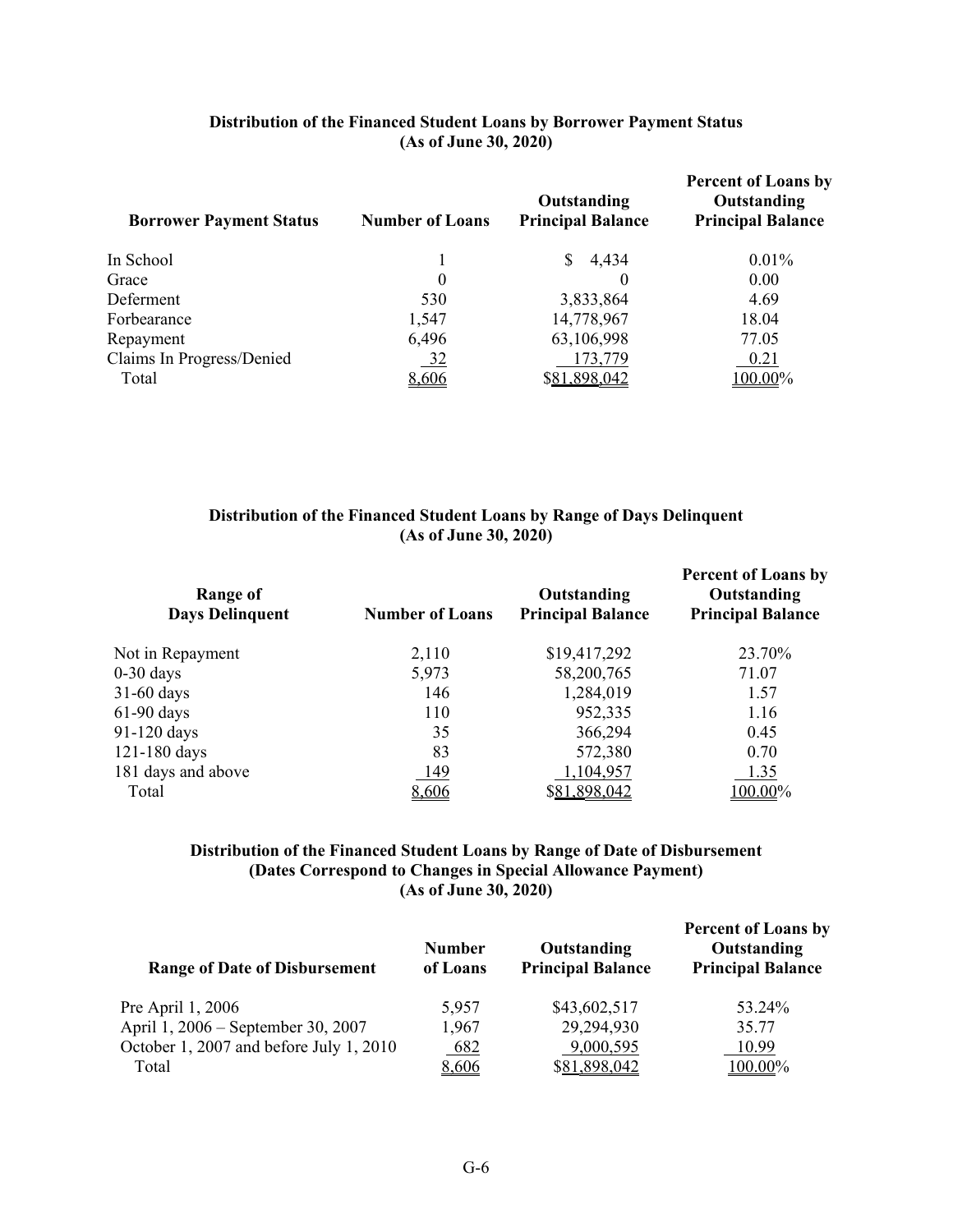| Distribution of the Financed Student Loans by Borrower Payment Status |
|-----------------------------------------------------------------------|
| (As of June 30, 2020)                                                 |

| <b>Borrower Payment Status</b> | <b>Number of Loans</b> | Outstanding<br><b>Principal Balance</b> | <b>Percent of Loans by</b><br>Outstanding<br><b>Principal Balance</b> |
|--------------------------------|------------------------|-----------------------------------------|-----------------------------------------------------------------------|
| In School                      |                        | \$4,434                                 | $0.01\%$                                                              |
| Grace                          | 0                      |                                         | 0.00                                                                  |
| Deferment                      | 530                    | 3,833,864                               | 4.69                                                                  |
| Forbearance                    | 1,547                  | 14,778,967                              | 18.04                                                                 |
| Repayment                      | 6,496                  | 63,106,998                              | 77.05                                                                 |
| Claims In Progress/Denied      | <u>32</u>              | 173,779                                 | 0.21                                                                  |
| Total                          | 8,606                  | \$81,898,042                            | 100.00%                                                               |

# **Distribution of the Financed Student Loans by Range of Days Delinquent (As of June 30, 2020)**

| Range of<br><b>Days Delinquent</b> | <b>Number of Loans</b> | Outstanding<br><b>Principal Balance</b> | <b>Percent of Loans by</b><br>Outstanding<br><b>Principal Balance</b> |
|------------------------------------|------------------------|-----------------------------------------|-----------------------------------------------------------------------|
| Not in Repayment                   | 2,110                  | \$19,417,292                            | 23.70%                                                                |
| $0-30$ days                        | 5,973                  | 58,200,765                              | 71.07                                                                 |
| 31-60 days                         | 146                    | 1,284,019                               | 1.57                                                                  |
| 61-90 days                         | 110                    | 952,335                                 | 1.16                                                                  |
| 91-120 days                        | 35                     | 366,294                                 | 0.45                                                                  |
| 121-180 days                       | 83                     | 572,380                                 | 0.70                                                                  |
| 181 days and above                 | 149                    | 1,104,957                               | 1.35                                                                  |
| Total                              | 8,606                  | \$81,898,042                            | 100.00%                                                               |
|                                    |                        |                                         |                                                                       |

### **Distribution of the Financed Student Loans by Range of Date of Disbursement (Dates Correspond to Changes in Special Allowance Payment) (As of June 30, 2020)**

| <b>Range of Date of Disbursement</b>    | <b>Number</b><br>of Loans | Outstanding<br><b>Principal Balance</b> | <b>Percent of Loans by</b><br>Outstanding<br><b>Principal Balance</b> |
|-----------------------------------------|---------------------------|-----------------------------------------|-----------------------------------------------------------------------|
| Pre April 1, 2006                       | 5,957                     | \$43,602,517                            | 53.24%                                                                |
| April 1, 2006 – September 30, 2007      | 1,967                     | 29,294,930                              | 35.77                                                                 |
| October 1, 2007 and before July 1, 2010 | 682                       | 9,000,595                               | 10.99                                                                 |
| Total                                   | 8,606                     | \$81,898,042                            | $100.00\%$                                                            |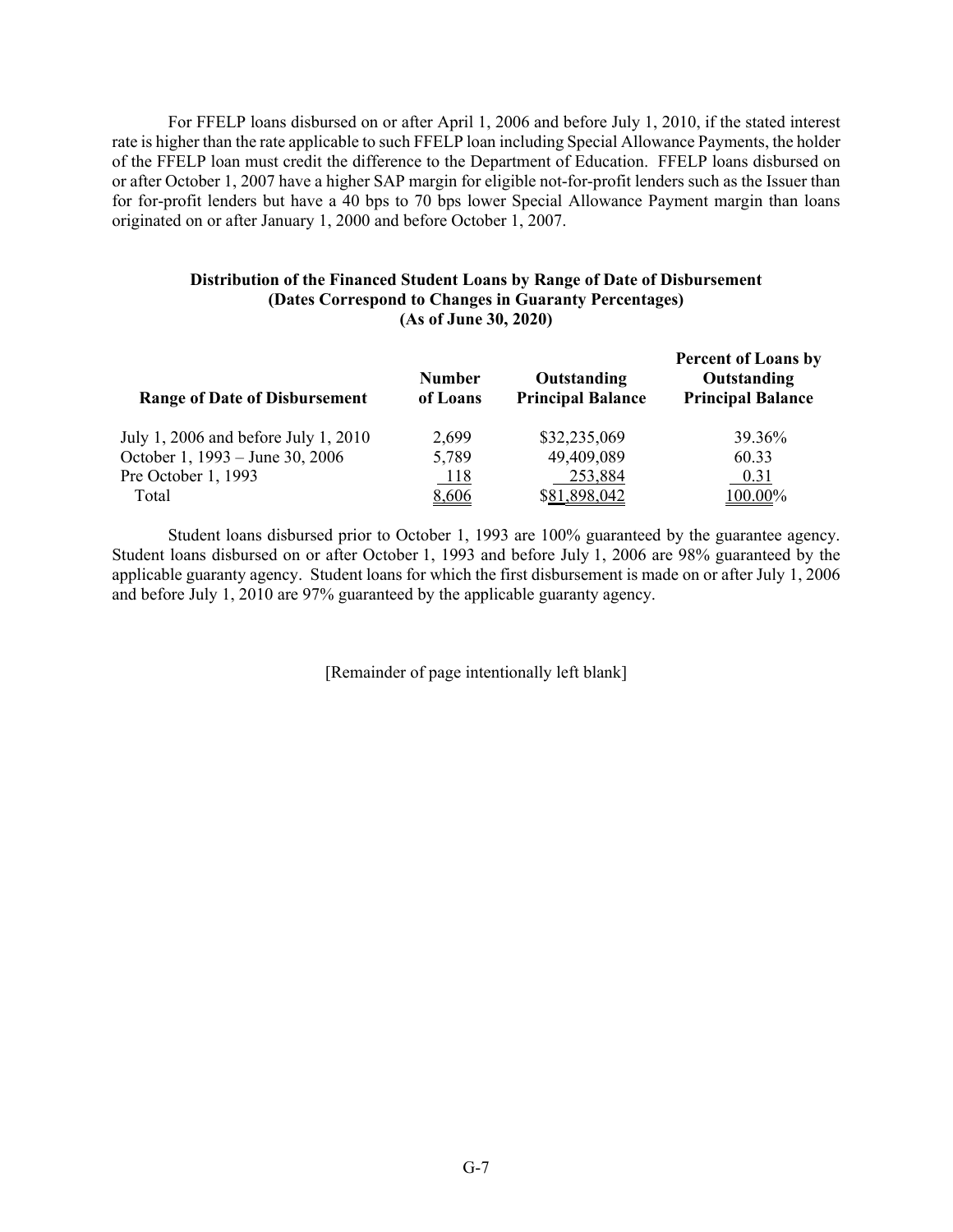For FFELP loans disbursed on or after April 1, 2006 and before July 1, 2010, if the stated interest rate is higher than the rate applicable to such FFELP loan including Special Allowance Payments, the holder of the FFELP loan must credit the difference to the Department of Education. FFELP loans disbursed on or after October 1, 2007 have a higher SAP margin for eligible not-for-profit lenders such as the Issuer than for for-profit lenders but have a 40 bps to 70 bps lower Special Allowance Payment margin than loans originated on or after January 1, 2000 and before October 1, 2007.

#### **Distribution of the Financed Student Loans by Range of Date of Disbursement (Dates Correspond to Changes in Guaranty Percentages) (As of June 30, 2020)**

| <b>Range of Date of Disbursement</b> | <b>Number</b><br>of Loans | Outstanding<br><b>Principal Balance</b> | <b>Percent of Loans by</b><br>Outstanding<br><b>Principal Balance</b> |
|--------------------------------------|---------------------------|-----------------------------------------|-----------------------------------------------------------------------|
| July 1, 2006 and before July 1, 2010 | 2,699                     | \$32,235,069                            | 39.36%                                                                |
| October 1, 1993 – June 30, 2006      | 5,789                     | 49,409,089                              | 60.33                                                                 |
| Pre October 1, 1993                  | <u>118</u>                | 253,884                                 | 0.31                                                                  |
| Total                                | 8,606                     | \$81,898,042                            | 100.00%                                                               |

Student loans disbursed prior to October 1, 1993 are 100% guaranteed by the guarantee agency. Student loans disbursed on or after October 1, 1993 and before July 1, 2006 are 98% guaranteed by the applicable guaranty agency. Student loans for which the first disbursement is made on or after July 1, 2006 and before July 1, 2010 are 97% guaranteed by the applicable guaranty agency.

[Remainder of page intentionally left blank]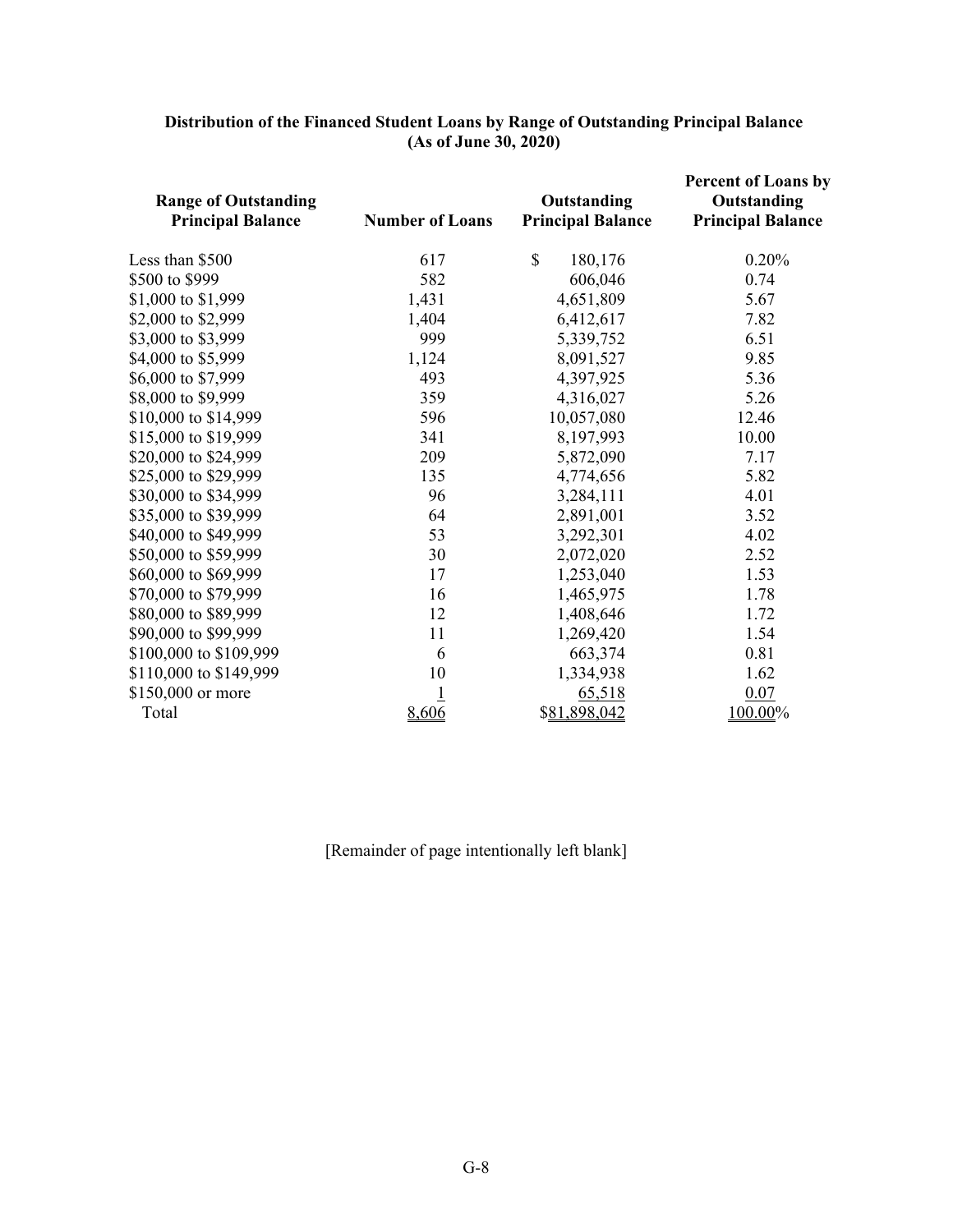| <b>Range of Outstanding</b><br><b>Principal Balance</b> | <b>Number of Loans</b> | Outstanding<br><b>Principal Balance</b> | <b>Percent of Loans by</b><br>Outstanding<br><b>Principal Balance</b> |
|---------------------------------------------------------|------------------------|-----------------------------------------|-----------------------------------------------------------------------|
| Less than \$500                                         | 617                    | $\mathbb{S}$<br>180,176                 | 0.20%                                                                 |
| \$500 to \$999                                          | 582                    | 606,046                                 | 0.74                                                                  |
| \$1,000 to \$1,999                                      | 1,431                  | 4,651,809                               | 5.67                                                                  |
| \$2,000 to \$2,999                                      | 1,404                  | 6,412,617                               | 7.82                                                                  |
| \$3,000 to \$3,999                                      | 999                    | 5,339,752                               | 6.51                                                                  |
| \$4,000 to \$5,999                                      | 1,124                  | 8,091,527                               | 9.85                                                                  |
| \$6,000 to \$7,999                                      | 493                    | 4,397,925                               | 5.36                                                                  |
| \$8,000 to \$9,999                                      | 359                    | 4,316,027                               | 5.26                                                                  |
| \$10,000 to \$14,999                                    | 596                    | 10,057,080                              | 12.46                                                                 |
| \$15,000 to \$19,999                                    | 341                    | 8,197,993                               | 10.00                                                                 |
| \$20,000 to \$24,999                                    | 209                    | 5,872,090                               | 7.17                                                                  |
| \$25,000 to \$29,999                                    | 135                    | 4,774,656                               | 5.82                                                                  |
| \$30,000 to \$34,999                                    | 96                     | 3,284,111                               | 4.01                                                                  |
| \$35,000 to \$39,999                                    | 64                     | 2,891,001                               | 3.52                                                                  |
| \$40,000 to \$49,999                                    | 53                     | 3,292,301                               | 4.02                                                                  |
| \$50,000 to \$59,999                                    | 30                     | 2,072,020                               | 2.52                                                                  |
| \$60,000 to \$69,999                                    | 17                     | 1,253,040                               | 1.53                                                                  |
| \$70,000 to \$79,999                                    | 16                     | 1,465,975                               | 1.78                                                                  |
| \$80,000 to \$89,999                                    | 12                     | 1,408,646                               | 1.72                                                                  |
| \$90,000 to \$99,999                                    | 11                     | 1,269,420                               | 1.54                                                                  |
| \$100,000 to \$109,999                                  | 6                      | 663,374                                 | 0.81                                                                  |
| \$110,000 to \$149,999                                  | 10                     | 1,334,938                               | 1.62                                                                  |
| \$150,000 or more                                       | $\overline{1}$         | 65,518                                  | 0.07                                                                  |
| Total                                                   | 8,606                  | \$81,898,042                            | 100.00%                                                               |

#### **Distribution of the Financed Student Loans by Range of Outstanding Principal Balance (As of June 30, 2020)**

[Remainder of page intentionally left blank]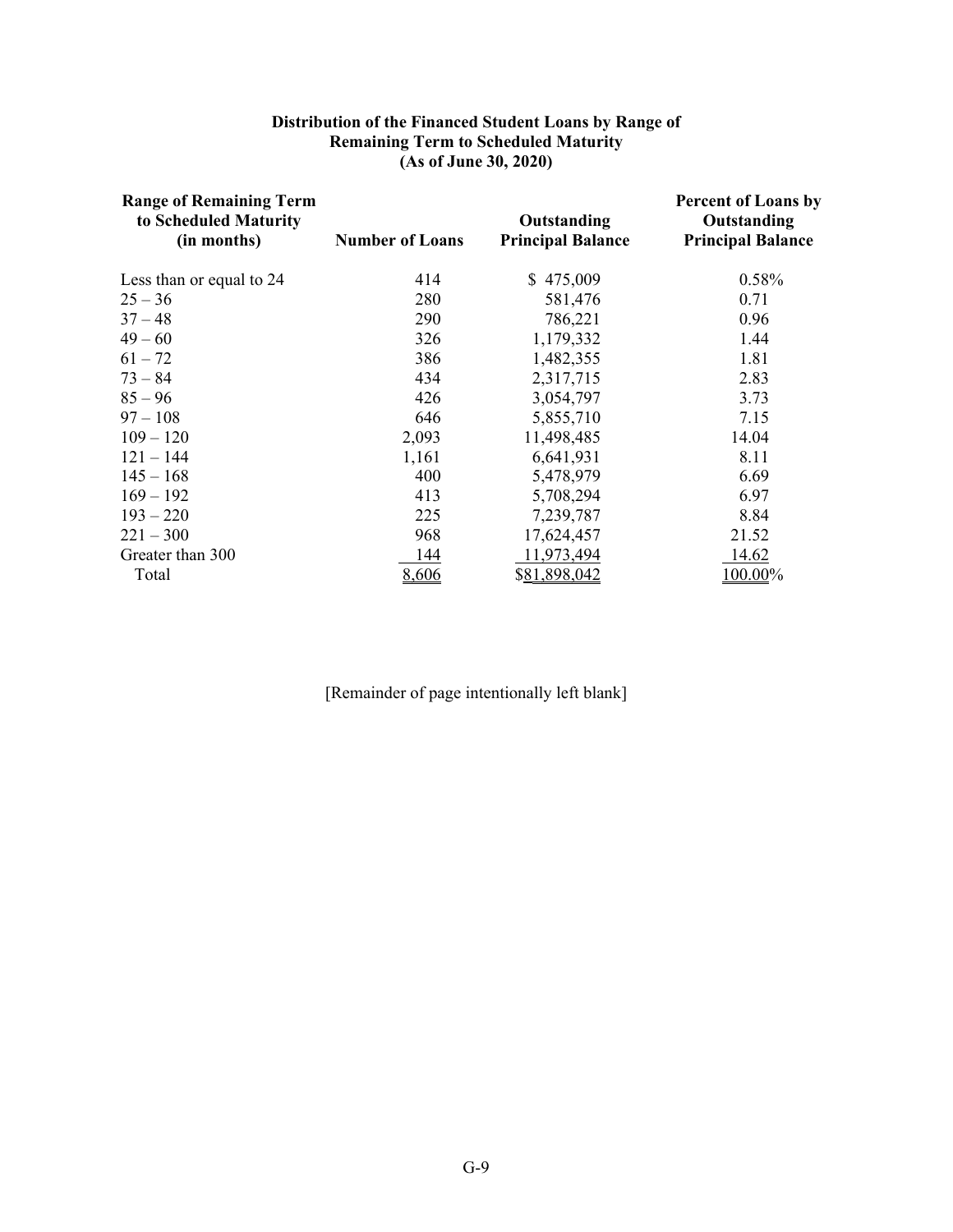#### **Distribution of the Financed Student Loans by Range of Remaining Term to Scheduled Maturity (As of June 30, 2020)**

| <b>Range of Remaining Term</b><br>to Scheduled Maturity<br>(in months) | <b>Number of Loans</b> | Outstanding<br><b>Principal Balance</b> | <b>Percent of Loans by</b><br>Outstanding<br><b>Principal Balance</b> |
|------------------------------------------------------------------------|------------------------|-----------------------------------------|-----------------------------------------------------------------------|
| Less than or equal to 24                                               | 414                    | \$475,009                               | 0.58%                                                                 |
| $25 - 36$                                                              | 280                    | 581,476                                 | 0.71                                                                  |
| $37 - 48$                                                              | 290                    | 786,221                                 | 0.96                                                                  |
| $49 - 60$                                                              | 326                    | 1,179,332                               | 1.44                                                                  |
| $61 - 72$                                                              | 386                    | 1,482,355                               | 1.81                                                                  |
| $73 - 84$                                                              | 434                    | 2,317,715                               | 2.83                                                                  |
| $85 - 96$                                                              | 426                    | 3,054,797                               | 3.73                                                                  |
| $97 - 108$                                                             | 646                    | 5,855,710                               | 7.15                                                                  |
| $109 - 120$                                                            | 2,093                  | 11,498,485                              | 14.04                                                                 |
| $121 - 144$                                                            | 1,161                  | 6,641,931                               | 8.11                                                                  |
| $145 - 168$                                                            | 400                    | 5,478,979                               | 6.69                                                                  |
| $169 - 192$                                                            | 413                    | 5,708,294                               | 6.97                                                                  |
| $193 - 220$                                                            | 225                    | 7,239,787                               | 8.84                                                                  |
| $221 - 300$                                                            | 968                    | 17,624,457                              | 21.52                                                                 |
| Greater than 300                                                       | 144                    | 11,973,494                              | <u>14.62</u>                                                          |
| Total                                                                  | 8,606                  | \$81,898,042                            | 100.00%                                                               |

[Remainder of page intentionally left blank]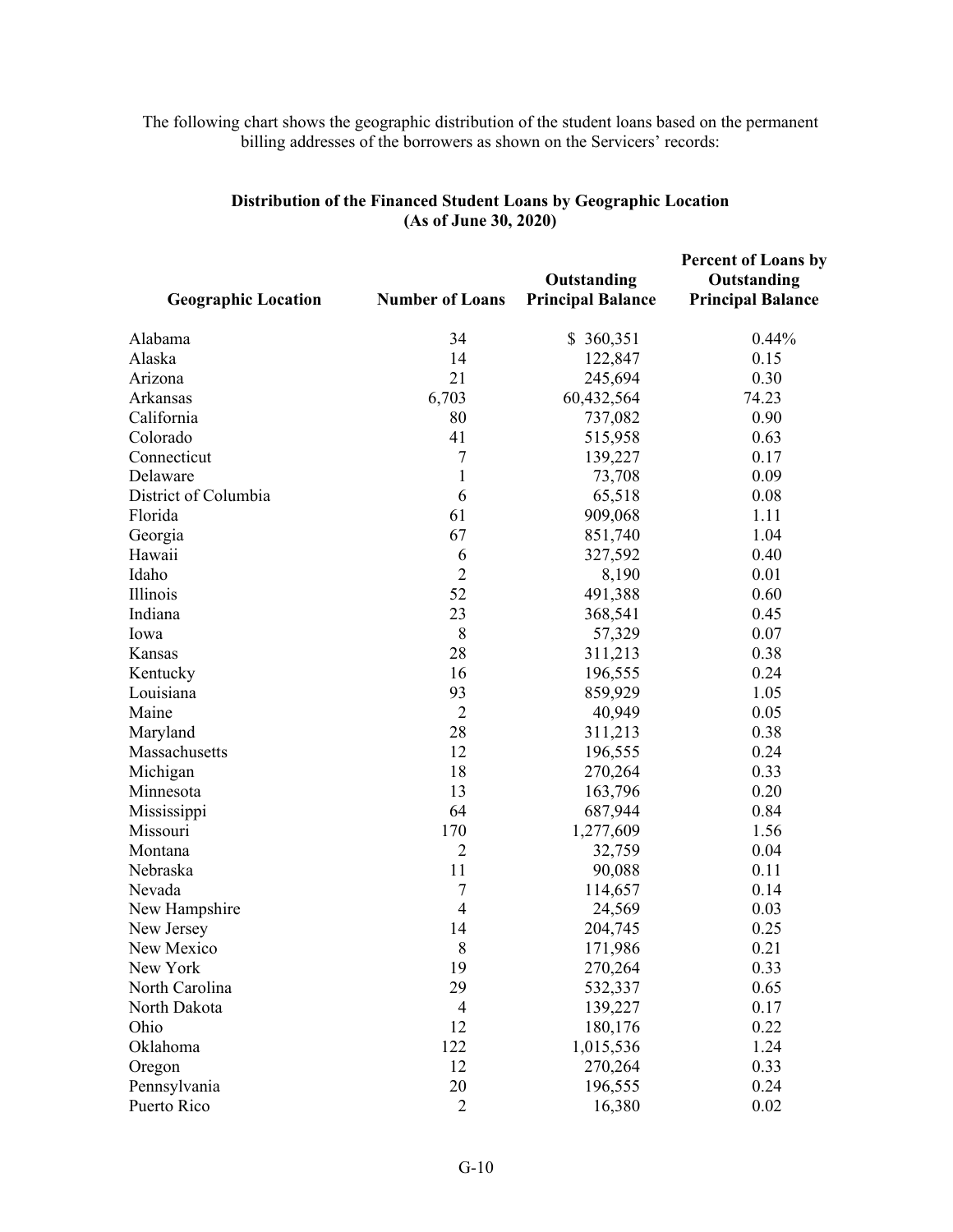## The following chart shows the geographic distribution of the student loans based on the permanent billing addresses of the borrowers as shown on the Servicers' records:

| <b>Geographic Location</b> | <b>Number of Loans</b> | Outstanding<br><b>Principal Balance</b> | <b>Percent of Loans by</b><br>Outstanding<br><b>Principal Balance</b> |
|----------------------------|------------------------|-----------------------------------------|-----------------------------------------------------------------------|
| Alabama                    | 34                     | \$360,351                               | 0.44%                                                                 |
| Alaska                     | 14                     | 122,847                                 | 0.15                                                                  |
| Arizona                    | 21                     | 245,694                                 | 0.30                                                                  |
| Arkansas                   | 6,703                  | 60,432,564                              | 74.23                                                                 |
| California                 | 80                     | 737,082                                 | 0.90                                                                  |
| Colorado                   | 41                     | 515,958                                 | 0.63                                                                  |
| Connecticut                | 7                      | 139,227                                 | 0.17                                                                  |
| Delaware                   | 1                      | 73,708                                  | 0.09                                                                  |
| District of Columbia       | 6                      | 65,518                                  | 0.08                                                                  |
| Florida                    | 61                     | 909,068                                 | 1.11                                                                  |
| Georgia                    | 67                     | 851,740                                 | 1.04                                                                  |
| Hawaii                     | 6                      | 327,592                                 | 0.40                                                                  |
| Idaho                      | $\overline{2}$         | 8,190                                   | 0.01                                                                  |
| Illinois                   | 52                     | 491,388                                 | 0.60                                                                  |
| Indiana                    | 23                     | 368,541                                 | 0.45                                                                  |
| Iowa                       | 8                      | 57,329                                  | 0.07                                                                  |
| Kansas                     | 28                     | 311,213                                 | 0.38                                                                  |
| Kentucky                   | 16                     | 196,555                                 | 0.24                                                                  |
| Louisiana                  | 93                     | 859,929                                 | 1.05                                                                  |
| Maine                      | $\overline{c}$         | 40,949                                  | 0.05                                                                  |
| Maryland                   | 28                     | 311,213                                 | 0.38                                                                  |
| Massachusetts              | 12                     | 196,555                                 | 0.24                                                                  |
| Michigan                   | 18                     | 270,264                                 | 0.33                                                                  |
| Minnesota                  | 13                     | 163,796                                 | 0.20                                                                  |
| Mississippi                | 64                     | 687,944                                 | 0.84                                                                  |
| Missouri                   | 170                    | 1,277,609                               | 1.56                                                                  |
| Montana                    | $\overline{2}$         | 32,759                                  | 0.04                                                                  |
| Nebraska                   | 11                     | 90,088                                  | 0.11                                                                  |
| Nevada                     | 7                      | 114,657                                 | 0.14                                                                  |
| New Hampshire              | $\overline{4}$         | 24,569                                  | 0.03                                                                  |
| New Jersey                 | 14                     | 204,745                                 | 0.25                                                                  |
| New Mexico                 | 8                      | 171,986                                 | 0.21                                                                  |
| New York                   | 19                     | 270,264                                 | 0.33                                                                  |
| North Carolina             | 29                     | 532,337                                 | 0.65                                                                  |
| North Dakota               | 4                      | 139,227                                 | 0.17                                                                  |
| Ohio                       | 12                     | 180,176                                 | 0.22                                                                  |
| Oklahoma                   | 122                    | 1,015,536                               | 1.24                                                                  |
| Oregon                     | 12                     | 270,264                                 | 0.33                                                                  |
| Pennsylvania               | 20                     | 196,555                                 | 0.24                                                                  |
| Puerto Rico                | $\overline{2}$         | 16,380                                  | 0.02                                                                  |

# **Distribution of the Financed Student Loans by Geographic Location (As of June 30, 2020)**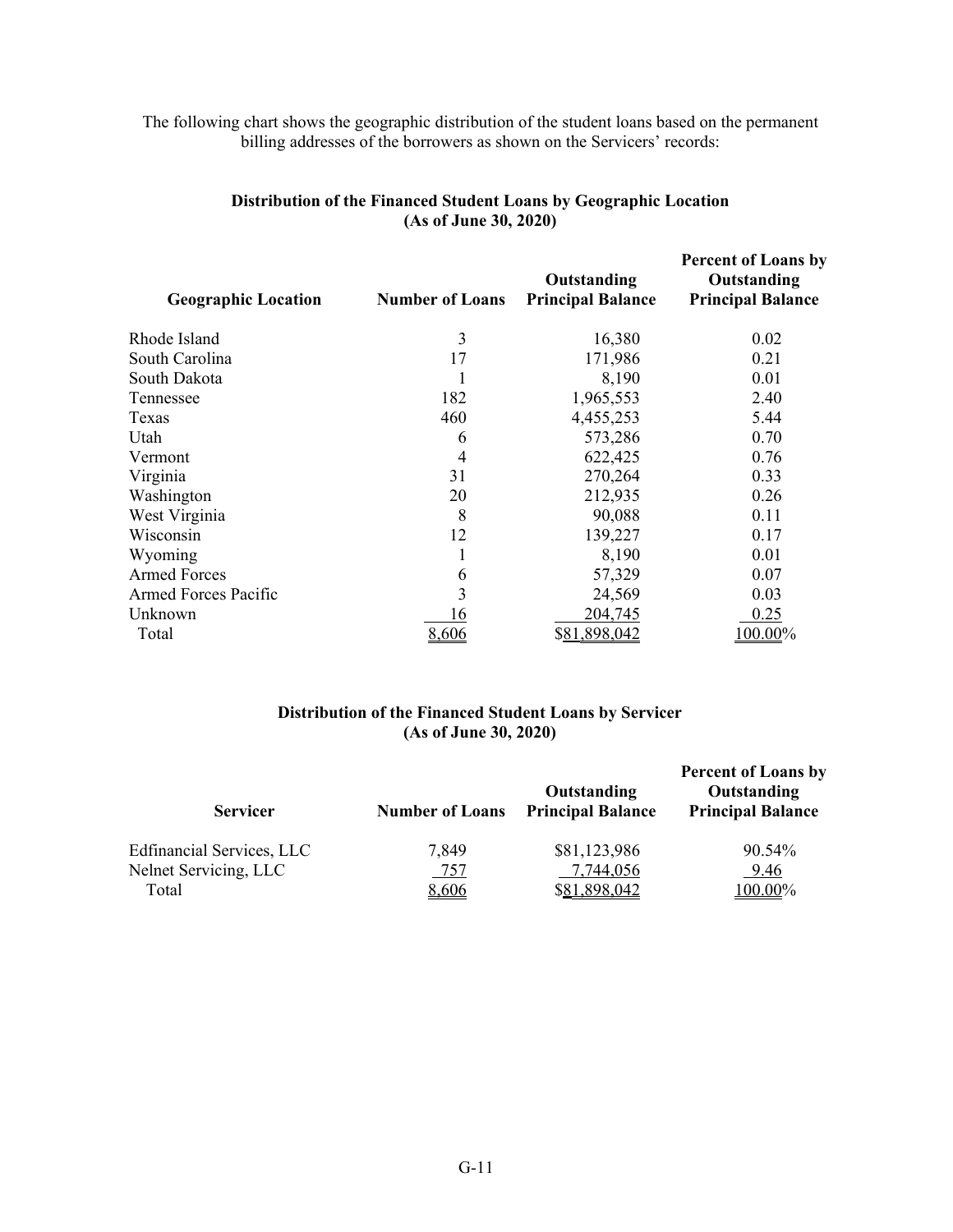## The following chart shows the geographic distribution of the student loans based on the permanent billing addresses of the borrowers as shown on the Servicers' records:

| <b>Geographic Location</b>  | <b>Number of Loans</b> | Outstanding<br><b>Principal Balance</b> | <b>Percent of Loans by</b><br>Outstanding<br><b>Principal Balance</b> |
|-----------------------------|------------------------|-----------------------------------------|-----------------------------------------------------------------------|
| Rhode Island                | 3                      | 16,380                                  | 0.02                                                                  |
| South Carolina              | 17                     | 171,986                                 | 0.21                                                                  |
| South Dakota                | 1                      | 8,190                                   | 0.01                                                                  |
| Tennessee                   | 182                    | 1,965,553                               | 2.40                                                                  |
| Texas                       | 460                    | 4,455,253                               | 5.44                                                                  |
| Utah                        | 6                      | 573,286                                 | 0.70                                                                  |
| Vermont                     | 4                      | 622,425                                 | 0.76                                                                  |
| Virginia                    | 31                     | 270,264                                 | 0.33                                                                  |
| Washington                  | 20                     | 212,935                                 | 0.26                                                                  |
| West Virginia               | 8                      | 90,088                                  | 0.11                                                                  |
| Wisconsin                   | 12                     | 139,227                                 | 0.17                                                                  |
| Wyoming                     |                        | 8,190                                   | 0.01                                                                  |
| <b>Armed Forces</b>         | 6                      | 57,329                                  | 0.07                                                                  |
| <b>Armed Forces Pacific</b> | 3                      | 24,569                                  | 0.03                                                                  |
| Unknown                     | 16                     | 204,745                                 | 0.25                                                                  |
| Total                       | 8,606                  | \$81,898,042                            | 100.00%                                                               |

# **Distribution of the Financed Student Loans by Geographic Location (As of June 30, 2020)**

### **Distribution of the Financed Student Loans by Servicer (As of June 30, 2020)**

| <b>Servicer</b>           | <b>Number of Loans</b> | Outstanding<br><b>Principal Balance</b> | <b>Percent of Loans by</b><br>Outstanding<br><b>Principal Balance</b> |
|---------------------------|------------------------|-----------------------------------------|-----------------------------------------------------------------------|
| Edfinancial Services, LLC | 7,849                  | \$81,123,986                            | $90.54\%$                                                             |
| Nelnet Servicing, LLC     | 757                    | 7,744,056                               | 9.46                                                                  |
| Total                     | 8,606                  | \$81,898,042                            | 100.00%                                                               |